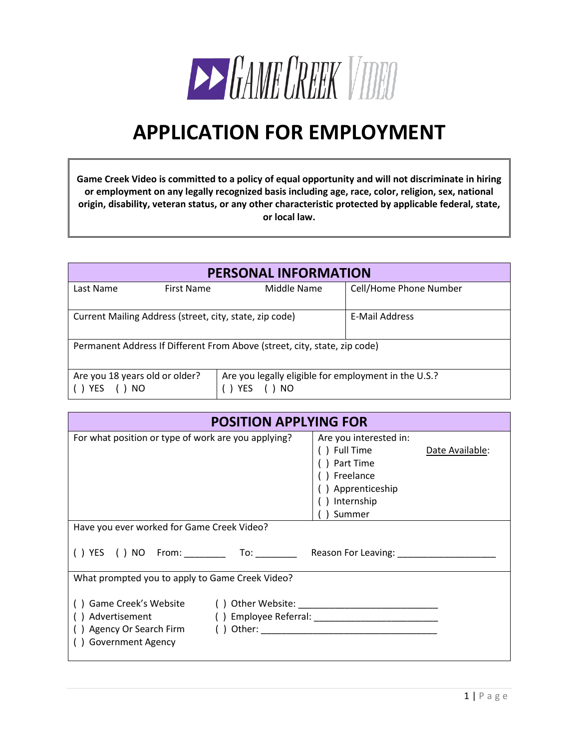

# **APPLICATION FOR EMPLOYMENT**

**Game Creek Video is committed to a policy of equal opportunity and will not discriminate in hiring or employment on any legally recognized basis including age, race, color, religion, sex, national origin, disability, veteran status, or any other characteristic protected by applicable federal, state, or local law.**

| <b>PERSONAL INFORMATION</b>                                                                                                       |                                                                           |             |                        |  |  |  |
|-----------------------------------------------------------------------------------------------------------------------------------|---------------------------------------------------------------------------|-------------|------------------------|--|--|--|
| Last Name                                                                                                                         | First Name                                                                | Middle Name | Cell/Home Phone Number |  |  |  |
|                                                                                                                                   | Current Mailing Address (street, city, state, zip code)<br>E-Mail Address |             |                        |  |  |  |
| Permanent Address If Different From Above (street, city, state, zip code)                                                         |                                                                           |             |                        |  |  |  |
| Are you 18 years old or older?<br>Are you legally eligible for employment in the U.S.?<br><b>YES</b><br><b>YES</b><br>) NO<br>NO. |                                                                           |             |                        |  |  |  |

| <b>POSITION APPLYING FOR</b>                                                     |                                                                                                                   |                 |  |  |  |  |
|----------------------------------------------------------------------------------|-------------------------------------------------------------------------------------------------------------------|-----------------|--|--|--|--|
| For what position or type of work are you applying?                              | Are you interested in:<br>) Full Time<br>) Part Time<br>) Freelance<br>) Apprenticeship<br>) Internship<br>Summer | Date Available: |  |  |  |  |
| Have you ever worked for Game Creek Video?                                       |                                                                                                                   |                 |  |  |  |  |
| () YES () NO From: __________ To: _________ Reason For Leaving: ________________ |                                                                                                                   |                 |  |  |  |  |
| What prompted you to apply to Game Creek Video?                                  |                                                                                                                   |                 |  |  |  |  |
| () Advertisement<br>() Government Agency                                         |                                                                                                                   |                 |  |  |  |  |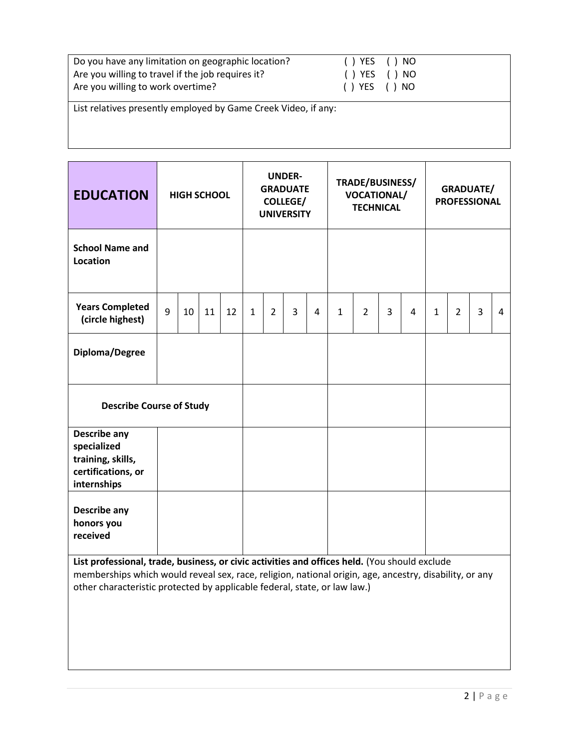| Do you have any limitation on geographic location?<br>Are you willing to travel if the job requires it?<br>Are you willing to work overtime? | ( ) YES<br>() YES<br>() YES () NO | ( ) NO<br>( ) NO |
|----------------------------------------------------------------------------------------------------------------------------------------------|-----------------------------------|------------------|
| List relatives presently employed by Game Creek Video, if any:                                                                               |                                   |                  |

| <b>EDUCATION</b>                                                                                                                           | <b>HIGH SCHOOL</b> |    |    |    |              | <b>UNDER-</b><br><b>GRADUATE</b><br><b>COLLEGE/</b><br><b>UNIVERSITY</b> |   | TRADE/BUSINESS/<br><b>VOCATIONAL/</b><br><b>TECHNICAL</b> |              |                |   | <b>GRADUATE/</b><br><b>PROFESSIONAL</b> |              |                |                |   |
|--------------------------------------------------------------------------------------------------------------------------------------------|--------------------|----|----|----|--------------|--------------------------------------------------------------------------|---|-----------------------------------------------------------|--------------|----------------|---|-----------------------------------------|--------------|----------------|----------------|---|
| <b>School Name and</b><br>Location                                                                                                         |                    |    |    |    |              |                                                                          |   |                                                           |              |                |   |                                         |              |                |                |   |
| <b>Years Completed</b><br>(circle highest)                                                                                                 | 9                  | 10 | 11 | 12 | $\mathbf{1}$ | $\overline{2}$                                                           | 3 | 4                                                         | $\mathbf{1}$ | $\overline{2}$ | 3 | $\overline{a}$                          | $\mathbf{1}$ | $\overline{2}$ | $\overline{3}$ | 4 |
| Diploma/Degree                                                                                                                             |                    |    |    |    |              |                                                                          |   |                                                           |              |                |   |                                         |              |                |                |   |
| <b>Describe Course of Study</b>                                                                                                            |                    |    |    |    |              |                                                                          |   |                                                           |              |                |   |                                         |              |                |                |   |
| <b>Describe any</b><br>specialized<br>training, skills,<br>certifications, or<br>internships                                               |                    |    |    |    |              |                                                                          |   |                                                           |              |                |   |                                         |              |                |                |   |
| <b>Describe any</b><br>honors you<br>received<br>List professional trade business or civic activities and offices held (You should exclude |                    |    |    |    |              |                                                                          |   |                                                           |              |                |   |                                         |              |                |                |   |

**List professional, trade, business, or civic activities and offices held.** (You should exclude memberships which would reveal sex, race, religion, national origin, age, ancestry, disability, or any other characteristic protected by applicable federal, state, or law law.)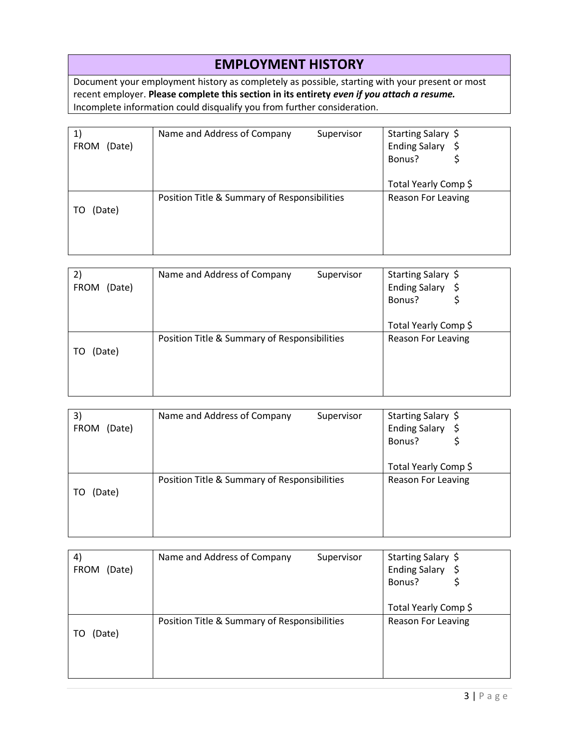## **EMPLOYMENT HISTORY**

Document your employment history as completely as possible, starting with your present or most recent employer. **Please complete this section in its entirety** *even if you attach a resume.* Incomplete information could disqualify you from further consideration.

| (Date)<br><b>FROM</b> | Name and Address of Company                  | Supervisor | Starting Salary \$<br><b>Ending Salary</b><br>Bonus? |
|-----------------------|----------------------------------------------|------------|------------------------------------------------------|
|                       |                                              |            | Total Yearly Comp \$                                 |
| (Date)                | Position Title & Summary of Responsibilities |            | <b>Reason For Leaving</b>                            |

| 2)                    | Name and Address of Company                  | Supervisor | Starting Salary \$          |
|-----------------------|----------------------------------------------|------------|-----------------------------|
| <b>FROM</b><br>(Date) |                                              |            | <b>Ending Salary</b><br>- Ş |
|                       |                                              |            | Bonus?                      |
|                       |                                              |            |                             |
|                       |                                              |            | Total Yearly Comp \$        |
|                       | Position Title & Summary of Responsibilities |            | <b>Reason For Leaving</b>   |
| (Date)<br>TO          |                                              |            |                             |
|                       |                                              |            |                             |
|                       |                                              |            |                             |
|                       |                                              |            |                             |

| 3)<br>(Date)<br><b>FROM</b> | Name and Address of Company                  | Supervisor | Starting Salary \$<br><b>Ending Salary</b><br>Bonus? |
|-----------------------------|----------------------------------------------|------------|------------------------------------------------------|
|                             |                                              |            | Total Yearly Comp \$                                 |
| (Date)<br>TO                | Position Title & Summary of Responsibilities |            | <b>Reason For Leaving</b>                            |

| $\left( 4\right)$     | Name and Address of Company                  | Supervisor | Starting Salary \$          |
|-----------------------|----------------------------------------------|------------|-----------------------------|
| <b>FROM</b><br>(Date) |                                              |            | <b>Ending Salary</b><br>- Ş |
|                       |                                              |            | Bonus?                      |
|                       |                                              |            |                             |
|                       |                                              |            | Total Yearly Comp \$        |
|                       | Position Title & Summary of Responsibilities |            | <b>Reason For Leaving</b>   |
| (Date)<br>TO          |                                              |            |                             |
|                       |                                              |            |                             |
|                       |                                              |            |                             |
|                       |                                              |            |                             |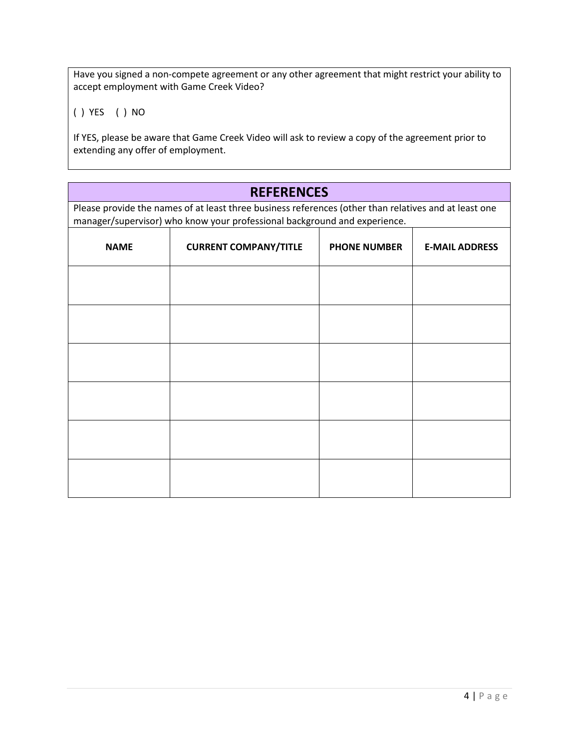Have you signed a non-compete agreement or any other agreement that might restrict your ability to accept employment with Game Creek Video?

( ) YES ( ) NO

If YES, please be aware that Game Creek Video will ask to review a copy of the agreement prior to extending any offer of employment.

### **REFERENCES**

Please provide the names of at least three business references (other than relatives and at least one manager/supervisor) who know your professional background and experience.

| <b>NAME</b> | <b>CURRENT COMPANY/TITLE</b> | <b>PHONE NUMBER</b> | <b>E-MAIL ADDRESS</b> |
|-------------|------------------------------|---------------------|-----------------------|
|             |                              |                     |                       |
|             |                              |                     |                       |
|             |                              |                     |                       |
|             |                              |                     |                       |
|             |                              |                     |                       |
|             |                              |                     |                       |